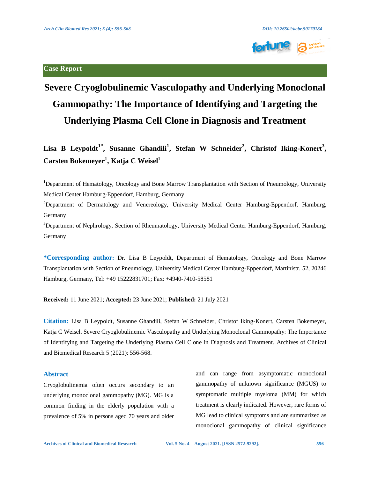

# **Severe Cryoglobulinemic Vasculopathy and Underlying Monoclonal Gammopathy: The Importance of Identifying and Targeting the Underlying Plasma Cell Clone in Diagnosis and Treatment**

**Lisa B Leypoldt1\* , Susanne Ghandili<sup>1</sup> , Stefan W Schneider<sup>2</sup> , Christof Iking-Konert<sup>3</sup> , Carsten Bokemeyer<sup>1</sup> , Katja C Weisel<sup>1</sup>**

<sup>1</sup>Department of Hematology, Oncology and Bone Marrow Transplantation with Section of Pneumology, University Medical Center Hamburg-Eppendorf, Hamburg, Germany

<sup>2</sup>Department of Dermatology and Venereology, University Medical Center Hamburg-Eppendorf, Hamburg, Germany

<sup>3</sup>Department of Nephrology, Section of Rheumatology, University Medical Center Hamburg-Eppendorf, Hamburg, Germany

**\*Corresponding author:** Dr. Lisa B Leypoldt, Department of Hematology, Oncology and Bone Marrow Transplantation with Section of Pneumology, University Medical Center Hamburg-Eppendorf, Martinistr. 52, 20246 Hamburg, Germany, Tel: +49 15222831701; Fax: +4940-7410-58581

**Received:** 11 June 2021; **Accepted:** 23 June 2021; **Published:** 21 July 2021

**Citation:** Lisa B Leypoldt, Susanne Ghandili, Stefan W Schneider, Christof Iking-Konert, Carsten Bokemeyer, Katja C Weisel. Severe Cryoglobulinemic Vasculopathy and Underlying Monoclonal Gammopathy: The Importance of Identifying and Targeting the Underlying Plasma Cell Clone in Diagnosis and Treatment. Archives of Clinical and Biomedical Research 5 (2021): 556-568.

# **Abstract**

Cryoglobulinemia often occurs secondary to an underlying monoclonal gammopathy (MG). MG is a common finding in the elderly population with a prevalence of 5% in persons aged 70 years and older and can range from asymptomatic monoclonal gammopathy of unknown significance (MGUS) to symptomatic multiple myeloma (MM) for which treatment is clearly indicated. However, rare forms of MG lead to clinical symptoms and are summarized as monoclonal gammopathy of clinical significance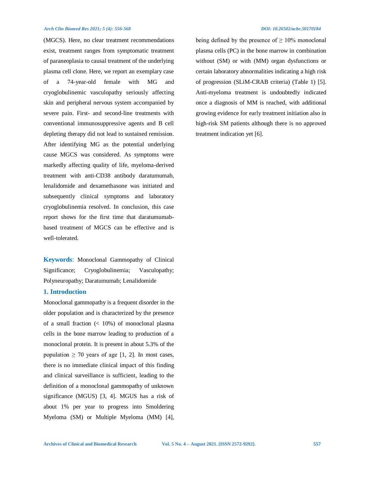(MGCS). Here, no clear treatment recommendations exist, treatment ranges from symptomatic treatment of paraneoplasia to causal treatment of the underlying plasma cell clone. Here, we report an exemplary case of a 74-year-old female with MG and cryoglobulinemic vasculopathy seriously affecting skin and peripheral nervous system accompanied by severe pain. First- and second-line treatments with conventional immunosuppressive agents and B cell depleting therapy did not lead to sustained remission. After identifying MG as the potential underlying cause MGCS was considered. As symptoms were markedly affecting quality of life, myeloma-derived treatment with anti-CD38 antibody daratumumab, lenalidomide and dexamethasone was initiated and subsequently clinical symptoms and laboratory cryoglobulinemia resolved. In conclusion, this case report shows for the first time that daratumumabbased treatment of MGCS can be effective and is well-tolerated.

**Keywords**: Monoclonal Gammopathy of Clinical Significance; Cryoglobulinemia; Vasculopathy; Polyneuropathy; Daratumumab; Lenalidomide

# **1. Introduction**

Monoclonal gammopathy is a frequent disorder in the older population and is characterized by the presence of a small fraction  $\left($  < 10%) of monoclonal plasma cells in the bone marrow leading to production of a monoclonal protein. It is present in about 5.3% of the population  $\geq$  70 years of age [1, 2]. In most cases, there is no immediate clinical impact of this finding and clinical surveillance is sufficient, leading to the definition of a monoclonal gammopathy of unknown significance (MGUS) [3, 4]. MGUS has a risk of about 1% per year to progress into Smoldering Myeloma (SM) or Multiple Myeloma (MM) [4], being defined by the presence of  $\geq 10\%$  monoclonal plasma cells (PC) in the bone marrow in combination without (SM) or with (MM) organ dysfunctions or certain laboratory abnormalities indicating a high risk of progression (SLiM-CRAB criteria) (Table 1) [5]. Anti-myeloma treatment is undoubtedly indicated once a diagnosis of MM is reached, with additional growing evidence for early treatment initiation also in high-risk SM patients although there is no approved treatment indication yet [6].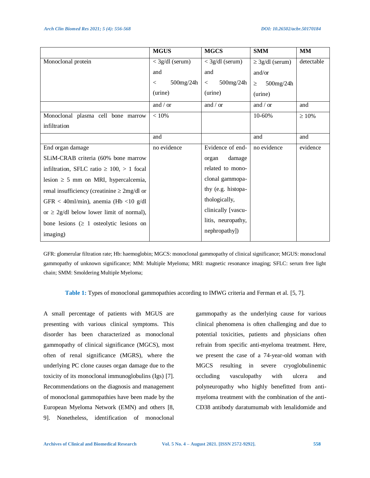|                                                   | <b>MGUS</b>             | <b>MGCS</b>        | <b>SMM</b>           | <b>MM</b>   |
|---------------------------------------------------|-------------------------|--------------------|----------------------|-------------|
| Monoclonal protein                                | $<$ 3g/dl (serum)       | $<$ 3g/dl (serum)  | $\geq$ 3g/dl (serum) | detectable  |
|                                                   | and                     | and                | and/or               |             |
|                                                   | $500$ mg/24h<br>$\,<\,$ | 500mg/24h<br>$\lt$ | 500mg/24h<br>$\geq$  |             |
|                                                   | (urine)                 | (urine)            | (urine)              |             |
|                                                   | and / or                | and / or           | and / or             | and         |
| Monoclonal plasma cell bone marrow                | $< 10\%$                |                    | 10-60%               | $\geq 10\%$ |
| infiltration                                      |                         |                    |                      |             |
|                                                   | and                     |                    | and                  | and         |
| End organ damage                                  | no evidence             | Evidence of end-   | no evidence          | evidence    |
| SLiM-CRAB criteria (60% bone marrow               |                         | damage<br>organ    |                      |             |
| infiltration, SFLC ratio $\geq 100$ , $> 1$ focal |                         | related to mono-   |                      |             |
| lesion $\geq$ 5 mm on MRI, hypercalcemia,         |                         | clonal gammopa-    |                      |             |
| renal insufficiency (creatinine $\geq 2mg/dl$ or  |                         | thy (e.g. histopa- |                      |             |
| GFR < 40ml/min), anemia (Hb <10 g/dl              |                         | thologically,      |                      |             |
| or $\geq$ 2g/dl below lower limit of normal),     |                         | clinically [vascu- |                      |             |
| bone lesions $( \geq 1)$ osteolytic lesions on    |                         | litis, neuropathy, |                      |             |
| imaging)                                          |                         | nephropathy])      |                      |             |

GFR: glomerular filtration rate; Hb: haemoglobin; MGCS: monoclonal gammopathy of clinical significance; MGUS: monoclonal gammopathy of unknown significance; MM: Multiple Myeloma; MRI: magnetic resonance imaging; SFLC: serum free light chain; SMM: Smoldering Multiple Myeloma;

**Table 1:** Types of monoclonal gammopathies according to IMWG criteria and Ferman et al. [5, 7].

A small percentage of patients with MGUS are presenting with various clinical symptoms. This disorder has been characterized as monoclonal gammopathy of clinical significance (MGCS), most often of renal significance (MGRS), where the underlying PC clone causes organ damage due to the toxicity of its monoclonal immunoglobulins (Igs) [7]. Recommendations on the diagnosis and management of monoclonal gammopathies have been made by the European Myeloma Network (EMN) and others [8, 9]. Nonetheless, identification of monoclonal

gammopathy as the underlying cause for various clinical phenomena is often challenging and due to potential toxicities, patients and physicians often refrain from specific anti-myeloma treatment. Here, we present the case of a 74-year-old woman with MGCS resulting in severe cryoglobulinemic occluding vasculopathy with ulcera and polyneuropathy who highly benefitted from antimyeloma treatment with the combination of the anti-CD38 antibody daratumumab with lenalidomide and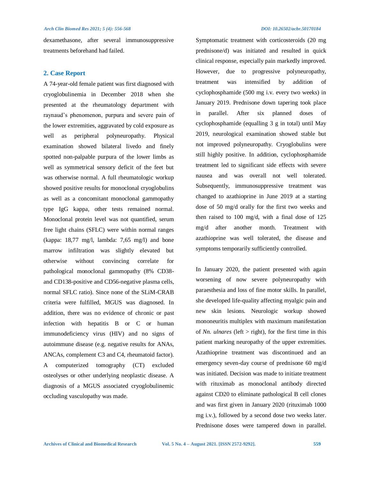dexamethasone, after several immunosuppressive treatments beforehand had failed.

# **2. Case Report**

A 74-year-old female patient was first diagnosed with cryoglobulinemia in December 2018 when she presented at the rheumatology department with raynaud's phenomenon, purpura and severe pain of the lower extremities, aggravated by cold exposure as well as peripheral polyneuropathy. Physical examination showed bilateral livedo and finely spotted non-palpable purpura of the lower limbs as well as symmetrical sensory deficit of the feet but was otherwise normal. A full rheumatologic workup showed positive results for monoclonal cryoglobulins as well as a concomitant monoclonal gammopathy type IgG kappa, other tests remained normal. Monoclonal protein level was not quantified, serum free light chains (SFLC) were within normal ranges (kappa: 18,77 mg/l, lambda: 7,65 mg/l) and bone marrow infiltration was slightly elevated but otherwise without convincing correlate for pathological monoclonal gammopathy (8% CD38 and CD138-positive and CD56-negative plasma cells, normal SFLC ratio). Since none of the SLiM-CRAB criteria were fulfilled, MGUS was diagnosed. In addition, there was no evidence of chronic or past infection with hepatitis B or C or human immunodeficiency virus (HIV) and no signs of autoimmune disease (e.g. negative results for ANAs, ANCAs, complement C3 and C4, rheumatoid factor). A computerized tomography (CT) excluded osteolyses or other underlying neoplastic disease. A diagnosis of a MGUS associated cryoglobulinemic occluding vasculopathy was made.

Symptomatic treatment with corticosteroids (20 mg prednisone/d) was initiated and resulted in quick clinical response, especially pain markedly improved. However, due to progressive polyneuropathy, treatment was intensified by addition of cyclophosphamide (500 mg i.v. every two weeks) in January 2019. Prednisone down tapering took place in parallel. After six planned doses of cyclophosphamide (equalling 3 g in total) until May 2019, neurological examination showed stable but not improved polyneuropathy. Cryoglobulins were still highly positive. In addition, cyclophosphamide treatment led to significant side effects with severe nausea and was overall not well tolerated. Subsequently, immunosuppressive treatment was changed to azathioprine in June 2019 at a starting dose of 50 mg/d orally for the first two weeks and then raised to 100 mg/d, with a final dose of 125 mg/d after another month. Treatment with azathioprine was well tolerated, the disease and symptoms temporarily sufficiently controlled.

In January 2020, the patient presented with again worsening of now severe polyneuropathy with paraesthesia and loss of fine motor skills. In parallel, she developed life-quality affecting myalgic pain and new skin lesions. Neurologic workup showed mononeuritis multiplex with maximum manifestation of *Nn. ulnares* (left > right), for the first time in this patient marking neuropathy of the upper extremities. Azathioprine treatment was discontinued and an emergency seven-day course of prednisone 60 mg/d was initiated. Decision was made to initiate treatment with rituximab as monoclonal antibody directed against CD20 to eliminate pathological B cell clones and was first given in January 2020 (rituximab 1000 mg i.v.), followed by a second dose two weeks later. Prednisone doses were tampered down in parallel.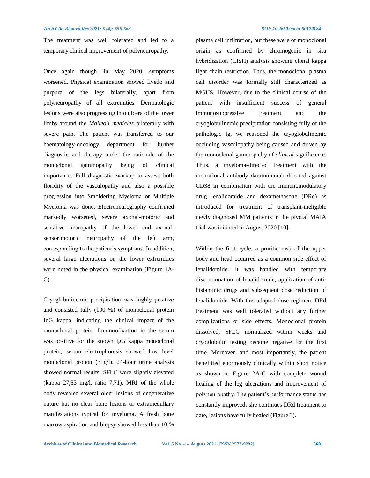The treatment was well tolerated and led to a temporary clinical improvement of polyneuropathy.

Once again though, in May 2020, symptoms worsened. Physical examination showed livedo and purpura of the legs bilaterally, apart from polyneuropathy of all extremities. Dermatologic lesions were also progressing into ulcera of the lower limbs around the *Malleoli mediales* bilaterally with severe pain. The patient was transferred to our haematology-oncology department for further diagnostic and therapy under the rationale of the monoclonal gammopathy being of clinical importance. Full diagnostic workup to assess both floridity of the vasculopathy and also a possible progression into Smoldering Myeloma or Multiple Myeloma was done. Electroneurography confirmed markedly worsened, severe axonal-motoric and sensitive neuropathy of the lower and axonalsensorimotoric neuropathy of the left arm, corresponding to the patient's symptoms. In addition, several large ulcerations on the lower extremities were noted in the physical examination (Figure 1A-C).

Cryoglobulinemic precipitation was highly positive and consisted fully (100 %) of monoclonal protein IgG kappa, indicating the clinical impact of the monoclonal protein. Immunofixation in the serum was positive for the known IgG kappa monoclonal protein, serum electrophoresis showed low level monoclonal protein (3 g/l). 24-hour urine analysis showed normal results; SFLC were slightly elevated (kappa 27,53 mg/l, ratio 7,71). MRI of the whole body revealed several older lesions of degenerative nature but no clear bone lesions or extramedullary manifestations typical for myeloma. A fresh bone marrow aspiration and biopsy showed less than 10 %

plasma cell infiltration, but these were of monoclonal origin as confirmed by chromogenic in situ hybridization (CISH) analysis showing clonal kappa light chain restriction. Thus, the monoclonal plasma cell disorder was formally still characterized as MGUS. However, due to the clinical course of the patient with insufficient success of general immunosuppressive treatment and the cryoglobulinemic precipitation consisting fully of the pathologic Ig, we reasoned the cryoglobulinemic occluding vasculopathy being caused and driven by the monoclonal gammopathy of *clinical* significance. Thus, a myeloma-directed treatment with the monoclonal antibody daratumumab directed against CD38 in combination with the immunomodulatory drug lenalidomide and dexamethasone (DRd) as introduced for treatment of transplant-ineligible newly diagnosed MM patients in the pivotal MAIA trial was initiated in August 2020 [10].

Within the first cycle, a pruritic rash of the upper body and head occurred as a common side effect of lenalidomide. It was handled with temporary discontinuation of lenalidomide, application of antihistaminic drugs and subsequent dose reduction of lenalidomide. With this adapted dose regimen, DRd treatment was well tolerated without any further complications or side effects. Monoclonal protein dissolved, SFLC normalized within weeks and cryoglobulin testing became negative for the first time. Moreover, and most importantly, the patient benefitted enormously clinically within short notice as shown in Figure 2A-C with complete wound healing of the leg ulcerations and improvement of polyneuropathy. The patient's performance status has constantly improved; she continues DRd treatment to date, lesions have fully healed (Figure 3).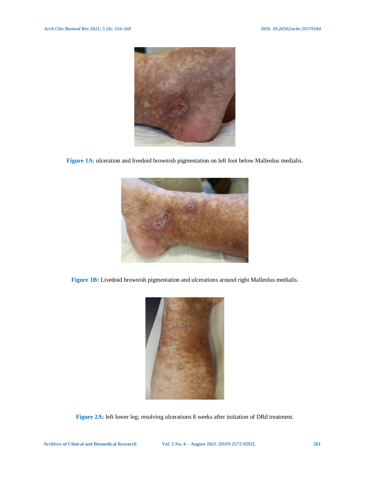

**Figure 1A:** ulceration and livedoid brownish pigmentation on left foot below Malleolus medialis.



**Figure 1B:** Livedoid brownish pigmentation and ulcerations around right Malleolus medialis.



**Figure 2A:** left lower leg; resolving ulcerations 8 weeks after initiation of DRd treatment.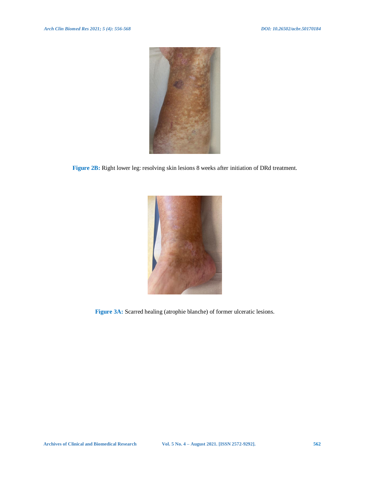

**Figure 2B:** Right lower leg: resolving skin lesions 8 weeks after initiation of DRd treatment.



**Figure 3A:** Scarred healing (atrophie blanche) of former ulceratic lesions.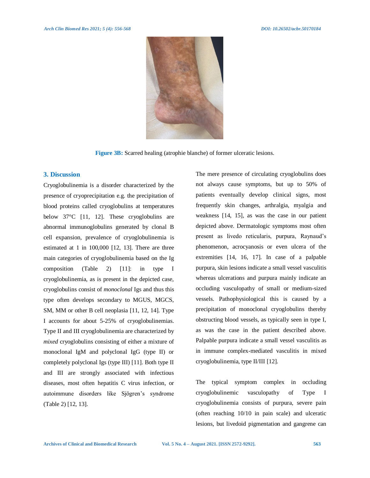

**Figure 3B:** Scarred healing (atrophie blanche) of former ulceratic lesions.

# **3. Discussion**

Cryoglobulinemia is a disorder characterized by the presence of cryoprecipitation e.g. the precipitation of blood proteins called cryoglobulins at temperatures below 37°C [11, 12]. These cryoglobulins are abnormal immunoglobulins generated by clonal B cell expansion, prevalence of cryoglobulinemia is estimated at 1 in 100,000 [12, 13]. There are three main categories of cryoglobulinemia based on the Ig composition (Table 2) [11]: in type I cryoglobulinemia, as is present in the depicted case, cryoglobulins consist of *monoclonal* Igs and thus this type often develops secondary to MGUS, MGCS, SM, MM or other B cell neoplasia [11, 12, 14]. Type I accounts for about 5-25% of cryoglobulinemias. Type II and III cryoglobulinemia are characterized by *mixed* cryoglobulins consisting of either a mixture of monoclonal IgM and polyclonal IgG (type II) or completely polyclonal Igs (type III) [11]. Both type II and III are strongly associated with infectious diseases, most often hepatitis C virus infection, or autoimmune disorders like Sjögren's syndrome (Table 2) [12, 13].

The mere presence of circulating cryoglobulins does not always cause symptoms, but up to 50% of patients eventually develop clinical signs, most frequently skin changes, arthralgia, myalgia and weakness [14, 15], as was the case in our patient depicted above. Dermatologic symptoms most often present as livedo reticularis, purpura, Raynaud's phenomenon, acrocyanosis or even ulcera of the extremities [14, 16, 17]. In case of a palpable purpura, skin lesions indicate a small vessel vasculitis whereas ulcerations and purpura mainly indicate an occluding vasculopathy of small or medium-sized vessels. Pathophysiological this is caused by a precipitation of monoclonal cryoglobulins thereby obstructing blood vessels, as typically seen in type I, as was the case in the patient described above. Palpable purpura indicate a small vessel vasculitis as in immune complex-mediated vasculitis in mixed cryoglobulinemia, type II/III [12].

The typical symptom complex in occluding cryoglobulinemic vasculopathy of Type I cryoglobulinemia consists of purpura, severe pain (often reaching 10/10 in pain scale) and ulceratic lesions, but livedoid pigmentation and gangrene can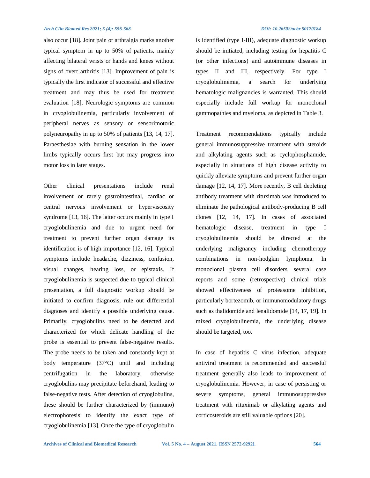also occur [18]. Joint pain or arthralgia marks another typical symptom in up to 50% of patients, mainly affecting bilateral wrists or hands and knees without signs of overt arthritis [13]. Improvement of pain is typically the first indicator of successful and effective treatment and may thus be used for treatment evaluation [18]. Neurologic symptoms are common in cryoglobulinemia, particularly involvement of peripheral nerves as sensory or sensorimotoric polyneuropathy in up to 50% of patients [13, 14, 17]. Paraesthesiae with burning sensation in the lower limbs typically occurs first but may progress into motor loss in later stages.

Other clinical presentations include renal involvement or rarely gastrointestinal, cardiac or central nervous involvement or hyperviscosity syndrome [13, 16]. The latter occurs mainly in type I cryoglobulinemia and due to urgent need for treatment to prevent further organ damage its identification is of high importance [12, 16]. Typical symptoms include headache, dizziness, confusion, visual changes, hearing loss, or epistaxis. If cryoglobulinemia is suspected due to typical clinical presentation, a full diagnostic workup should be initiated to confirm diagnosis, rule out differential diagnoses and identify a possible underlying cause. Primarily, cryoglobulins need to be detected and characterized for which delicate handling of the probe is essential to prevent false-negative results. The probe needs to be taken and constantly kept at body temperature (37°C) until and including centrifugation in the laboratory, otherwise cryoglobulins may precipitate beforehand, leading to false-negative tests. After detection of cryoglobulins, these should be further characterized by (immuno) electrophoresis to identify the exact type of cryoglobulinemia [13]. Once the type of cryoglobulin

is identified (type I-III), adequate diagnostic workup should be initiated, including testing for hepatitis C (or other infections) and autoimmune diseases in types II and III, respectively. For type I cryoglobulinemia, a search for underlying hematologic malignancies is warranted. This should especially include full workup for monoclonal gammopathies and myeloma, as depicted in Table 3.

Treatment recommendations typically include general immunosuppressive treatment with steroids and alkylating agents such as cyclophosphamide, especially in situations of high disease activity to quickly alleviate symptoms and prevent further organ damage [12, 14, 17]. More recently, B cell depleting antibody treatment with rituximab was introduced to eliminate the pathological antibody-producing B cell clones [12, 14, 17]. In cases of associated hematologic disease, treatment in type I cryoglobulinemia should be directed at the underlying malignancy including chemotherapy combinations in non-hodgkin lymphoma. In monoclonal plasma cell disorders, several case reports and some (retrospective) clinical trials showed effectiveness of proteasome inhibition, particularly bortezomib, or immunomodulatory drugs such as thalidomide and lenalidomide [14, 17, 19]. In mixed cryoglobulinemia, the underlying disease should be targeted, too.

In case of hepatitis C virus infection, adequate antiviral treatment is recommended and successful treatment generally also leads to improvement of cryoglobulinemia. However, in case of persisting or severe symptoms, general immunosuppressive treatment with rituximab or alkylating agents and corticosteroids are still valuable options [20].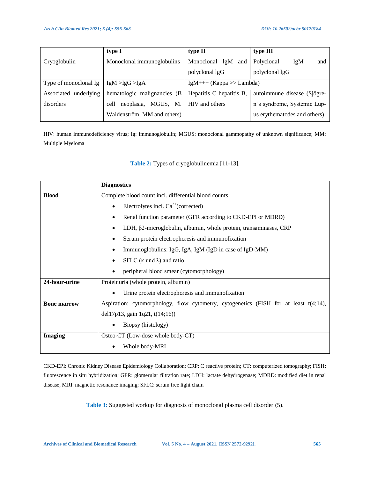|                          | type I                       | type II                  | type III                     |  |
|--------------------------|------------------------------|--------------------------|------------------------------|--|
| Cryoglobulin             | Monoclonal immunoglobulins   | Monoclonal<br>lgM<br>and | Polyclonal<br>lgM<br>and     |  |
|                          |                              | polyclonal lgG           | polyclonal lgG               |  |
| Type of monoclonal Ig    | IgM > IgG > IgA              | $IgM++(Kappa>>Lambda)$   |                              |  |
| underlying<br>Associated | hematologic malignancies (B) | Hepatitis C hepatitis B, | autoimmune disease (Sjögre-  |  |
| disorders                | neoplasia, MGUS, M.<br>cell  | HIV and others           | n's syndrome, Systemic Lup-  |  |
|                          | Waldenström, MM and others)  |                          | us erythematodes and others) |  |

HIV: human immunodeficiency virus; Ig: immunoglobulin; MGUS: monoclonal gammopathy of unknown significance; MM: Multiple Myeloma

# **Table 2:** Types of cryoglobulinemia [11-13].

|                    | <b>Diagnostics</b>                                                                      |  |  |
|--------------------|-----------------------------------------------------------------------------------------|--|--|
| <b>Blood</b>       | Complete blood count incl. differential blood counts                                    |  |  |
|                    | Electrolytes incl. $Ca^{2+}$ (corrected)                                                |  |  |
|                    | Renal function parameter (GFR according to CKD-EPI or MDRD)                             |  |  |
|                    | LDH, β2-microglobulin, albumin, whole protein, transaminases, CRP                       |  |  |
|                    | Serum protein electrophoresis and immunofixation                                        |  |  |
|                    | Immunoglobulins: IgG, IgA, IgM (IgD in case of IgD-MM)                                  |  |  |
|                    | SFLC $(\kappa \text{ und } \lambda)$ and ratio                                          |  |  |
|                    | peripheral blood smear (cytomorphology)                                                 |  |  |
| 24-hour-urine      | Proteinuria (whole protein, albumin)                                                    |  |  |
|                    | Urine protein electrophoresis and immunofixation                                        |  |  |
| <b>Bone marrow</b> | Aspiration: cytomorphology, flow cytometry, cytogenetics (FISH for at least $t(4;14)$ , |  |  |
|                    | del17p13, gain 1q21, t(14;16))                                                          |  |  |
|                    | Biopsy (histology)                                                                      |  |  |
| <b>Imaging</b>     | Osteo-CT (Low-dose whole body-CT)                                                       |  |  |
|                    | Whole body-MRI                                                                          |  |  |

CKD-EPI: Chronic Kidney Disease Epidemiology Collaboration; CRP: C reactive protein; CT: computerized tomography; FISH: fluorescence in situ hybridization; GFR: glomerular filtration rate; LDH: lactate dehydrogenase; MDRD: modified diet in renal disease; MRI: magnetic resonance imaging; SFLC: serum free light chain

**Table 3:** Suggested workup for diagnosis of monoclonal plasma cell disorder (5).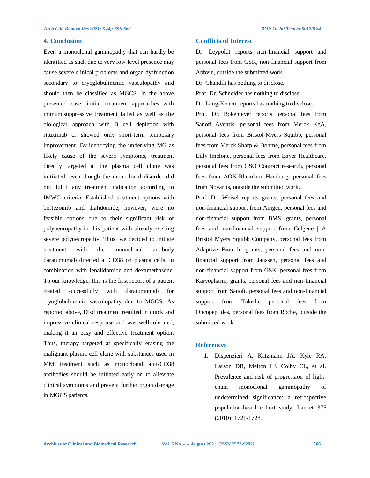#### **4. Conclusion**

Even a monoclonal gammopathy that can hardly be identified as such due to very low-level presence may cause severe clinical problems and organ dysfunction secondary to cryoglobulinemic vasculopathy and should then be classified as MGCS. In the above presented case, initial treatment approaches with immunosuppressive treatment failed as well as the biological approach with B cell depletion with rituximab or showed only short-term temporary improvement. By identifying the underlying MG as likely cause of the severe symptoms, treatment directly targeted at the plasma cell clone was initiiated, even though the monoclonal disorder did not fulfil any treatment indication according to IMWG criteria. Established treatment options with bortezomib and thalidomide, however, were no feasible options due to their significant risk of polyneuropathy in this patient with already existing severe polyneuropathy. Thus, we decided to initiate treatment with the monoclonal antibody daratumumab directed at CD38 on plasma cells, in combination with lenalidomide and dexamethasone. To our knowledge, this is the first report of a patient treated successfully with daratumumab for cryoglobulinemic vasculopathy due to MGCS. As reported above, DRd treatment resulted in quick and impressive clinical response and was well-tolerated, making it an easy and effective treatment option. Thus, therapy targeted at specifically erasing the malignant plasma cell clone with substances used in MM treatment such as monoclonal anti-CD38 antibodies should be initiated early on to alleviate clinical symptoms and prevent further organ damage in MGCS patients.

# **Conflicts of Interest**

Dr. Leypoldt reports non-financial support and personal fees from GSK, non-financial support from Abbvie, outside the submitted work.

Dr. Ghandili has nothing to disclose.

Prof. Dr. Schneider has nothing to disclose

Dr. Iking-Konert reports has nothing to disclose.

Prof. Dr. Bokemeyer reports personal fees from Sanofi Aventis, personal fees from Merck KgA, personal fees from Bristol-Myers Squibb, personal fees from Merck Sharp & Dohme, personal fees from Lilly Imclone, personal fees from Bayer Healthcare, personal fees from GSO Contract research, personal fees from AOK-Rheinland-Hamburg, personal fees from Novartis, outside the submitted work.

Prof. Dr. Weisel reports grants, personal fees and non-financial support from Amgen, personal fees and non-financial support from BMS, grants, personal fees and non-financial support from Celgene | A Bristol Myers Squibb Company, personal fees from Adaptive Biotech, grants, personal fees and nonfinancial support from Janssen, personal fees and non-financial support from GSK, personal fees from Karyopharm, grants, personal fees and non-financial support from Sanofi, personal fees and non-financial support from Takeda, personal fees from Oncopeptides, personal fees from Roche, outside the submitted work.

# **References**

1. Dispenzieri A, Katzmann JA, Kyle RA, Larson DR, Melton LJ, Colby CL, et al. Prevalence and risk of progression of lightchain monoclonal gammopathy of undetermined significance: a retrospective population-based cohort study. Lancet 375 (2010): 1721-1728.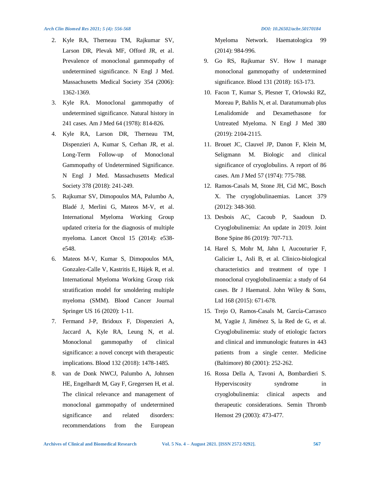- 2. Kyle RA, Therneau TM, Rajkumar SV, Larson DR, Plevak MF, Offord JR, et al. Prevalence of monoclonal gammopathy of undetermined significance. N Engl J Med. Massachusetts Medical Society 354 (2006): 1362-1369.
- 3. Kyle RA. Monoclonal gammopathy of undetermined significance. Natural history in 241 cases. Am J Med 64 (1978): 814-826.
- 4. Kyle RA, Larson DR, Therneau TM, Dispenzieri A, Kumar S, Cerhan JR, et al. Long-Term Follow-up of Monoclonal Gammopathy of Undetermined Significance. N Engl J Med. Massachusetts Medical Society 378 (2018): 241-249.
- 5. Rajkumar SV, Dimopoulos MA, Palumbo A, Bladé J, Merlini G, Mateos M-V, et al. International Myeloma Working Group updated criteria for the diagnosis of multiple myeloma. Lancet Oncol 15 (2014): e538 e548.
- 6. Mateos M-V, Kumar S, Dimopoulos MA, Gonzalez-Calle V, Kastritis E, Hájek R, et al. International Myeloma Working Group risk stratification model for smoldering multiple myeloma (SMM). Blood Cancer Journal Springer US 16 (2020): 1-11.
- 7. Fermand J-P, Bridoux F, Dispenzieri A, Jaccard A, Kyle RA, Leung N, et al. Monoclonal gammopathy of clinical significance: a novel concept with therapeutic implications. Blood 132 (2018): 1478-1485.
- 8. van de Donk NWCJ, Palumbo A, Johnsen HE, Engelhardt M, Gay F, Gregersen H, et al. The clinical relevance and management of monoclonal gammopathy of undetermined significance and related disorders: recommendations from the European

Myeloma Network. Haematologica 99 (2014): 984-996.

- 9. Go RS, Rajkumar SV. How I manage monoclonal gammopathy of undetermined significance. Blood 131 (2018): 163-173.
- 10. Facon T, Kumar S, Plesner T, Orlowski RZ, Moreau P, Bahlis N, et al. Daratumumab plus Lenalidomide and Dexamethasone for Untreated Myeloma. N Engl J Med 380 (2019): 2104-2115.
- 11. Brouet JC, Clauvel JP, Danon F, Klein M, Seligmann M. Biologic and clinical significance of cryoglobulins. A report of 86 cases. Am J Med 57 (1974): 775-788.
- 12. Ramos-Casals M, Stone JH, Cid MC, Bosch X. The cryoglobulinaemias. Lancet 379 (2012): 348-360.
- 13. Desbois AC, Cacoub P, Saadoun D. Cryoglobulinemia: An update in 2019. Joint Bone Spine 86 (2019): 707-713.
- 14. Harel S, Mohr M, Jahn I, Aucouturier F, Galicier L, Asli B, et al. Clinico-biological characteristics and treatment of type I monoclonal cryoglobulinaemia: a study of 64 cases. Br J Haematol. John Wiley & Sons, Ltd 168 (2015): 671-678.
- 15. Trejo O, Ramos-Casals M, García-Carrasco M, Yagüe J, Jiménez S, la Red de G, et al. Cryoglobulinemia: study of etiologic factors and clinical and immunologic features in 443 patients from a single center. Medicine (Baltimore) 80 (2001): 252-262.
- 16. Rossa Della A, Tavoni A, Bombardieri S. Hyperviscosity syndrome in cryoglobulinemia: clinical aspects and therapeutic considerations. Semin Thromb Hemost 29 (2003): 473-477.